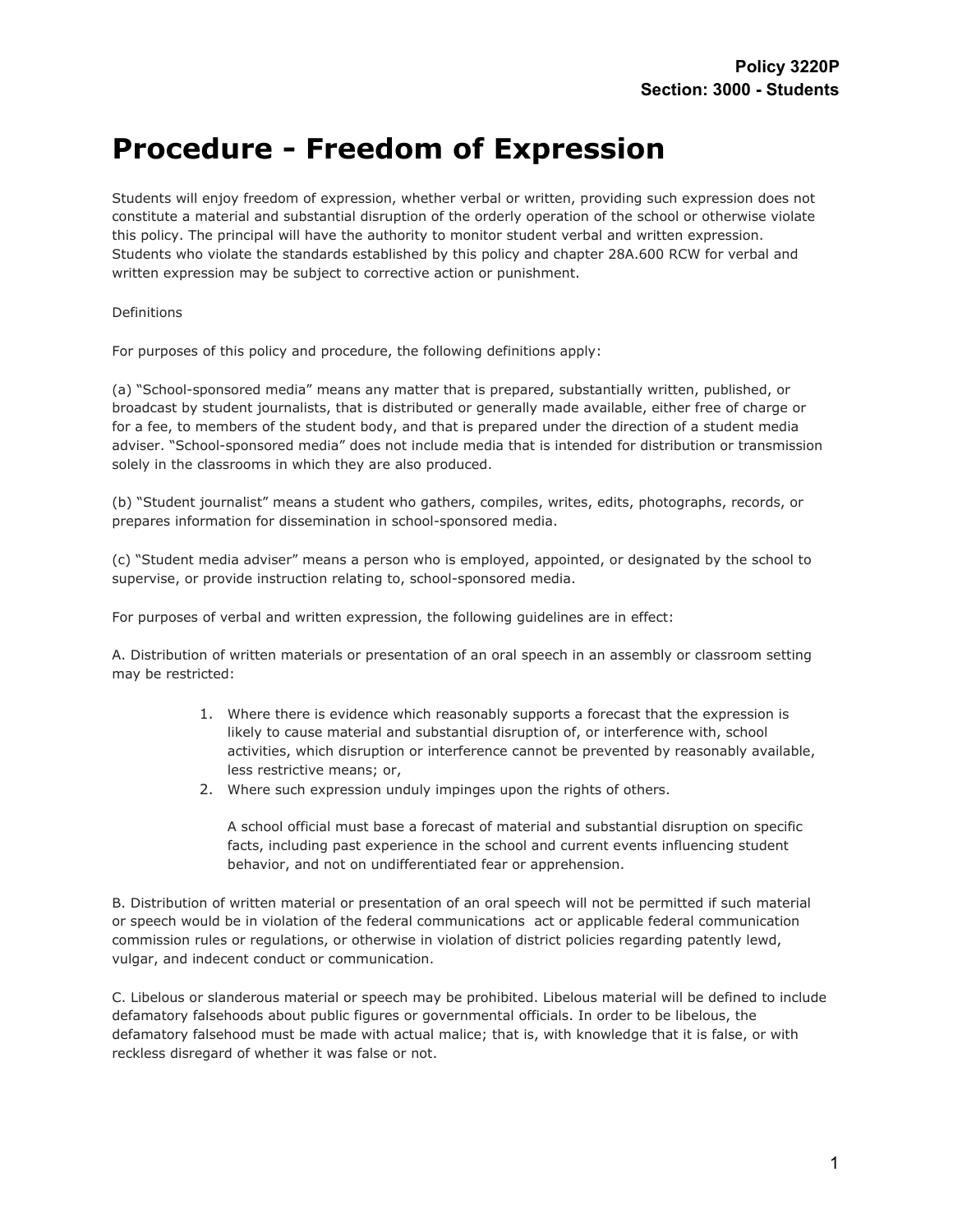## **Procedure - Freedom of Expression**

Students will enjoy freedom of expression, whether verbal or written, providing such expression does not constitute a material and substantial disruption of the orderly operation of the school or otherwise violate this policy. The principal will have the authority to monitor student verbal and written expression. Students who violate the standards established by this policy and chapter 28A.600 RCW for verbal and written expression may be subject to corrective action or punishment.

Definitions

For purposes of this policy and procedure, the following definitions apply:

(a) "School-sponsored media" means any matter that is prepared, substantially written, published, or broadcast by student journalists, that is distributed or generally made available, either free of charge or for a fee, to members of the student body, and that is prepared under the direction of a student media adviser. "School-sponsored media" does not include media that is intended for distribution or transmission solely in the classrooms in which they are also produced.

(b) "Student journalist" means a student who gathers, compiles, writes, edits, photographs, records, or prepares information for dissemination in school-sponsored media.

(c) "Student media adviser" means a person who is employed, appointed, or designated by the school to supervise, or provide instruction relating to, school-sponsored media.

For purposes of verbal and written expression, the following guidelines are in effect:

A. Distribution of written materials or presentation of an oral speech in an assembly or classroom setting may be restricted:

- 1. Where there is evidence which reasonably supports a forecast that the expression is likely to cause material and substantial disruption of, or interference with, school activities, which disruption or interference cannot be prevented by reasonably available, less restrictive means; or,
- 2. Where such expression unduly impinges upon the rights of others.

A school official must base a forecast of material and substantial disruption on specific facts, including past experience in the school and current events influencing student behavior, and not on undifferentiated fear or apprehension.

B. Distribution of written material or presentation of an oral speech will not be permitted if such material or speech would be in violation of the federal communications act or applicable federal communication commission rules or regulations, or otherwise in violation of district policies regarding patently lewd, vulgar, and indecent conduct or communication.

C. Libelous or slanderous material or speech may be prohibited. Libelous material will be defined to include defamatory falsehoods about public figures or governmental officials. In order to be libelous, the defamatory falsehood must be made with actual malice; that is, with knowledge that it is false, or with reckless disregard of whether it was false or not.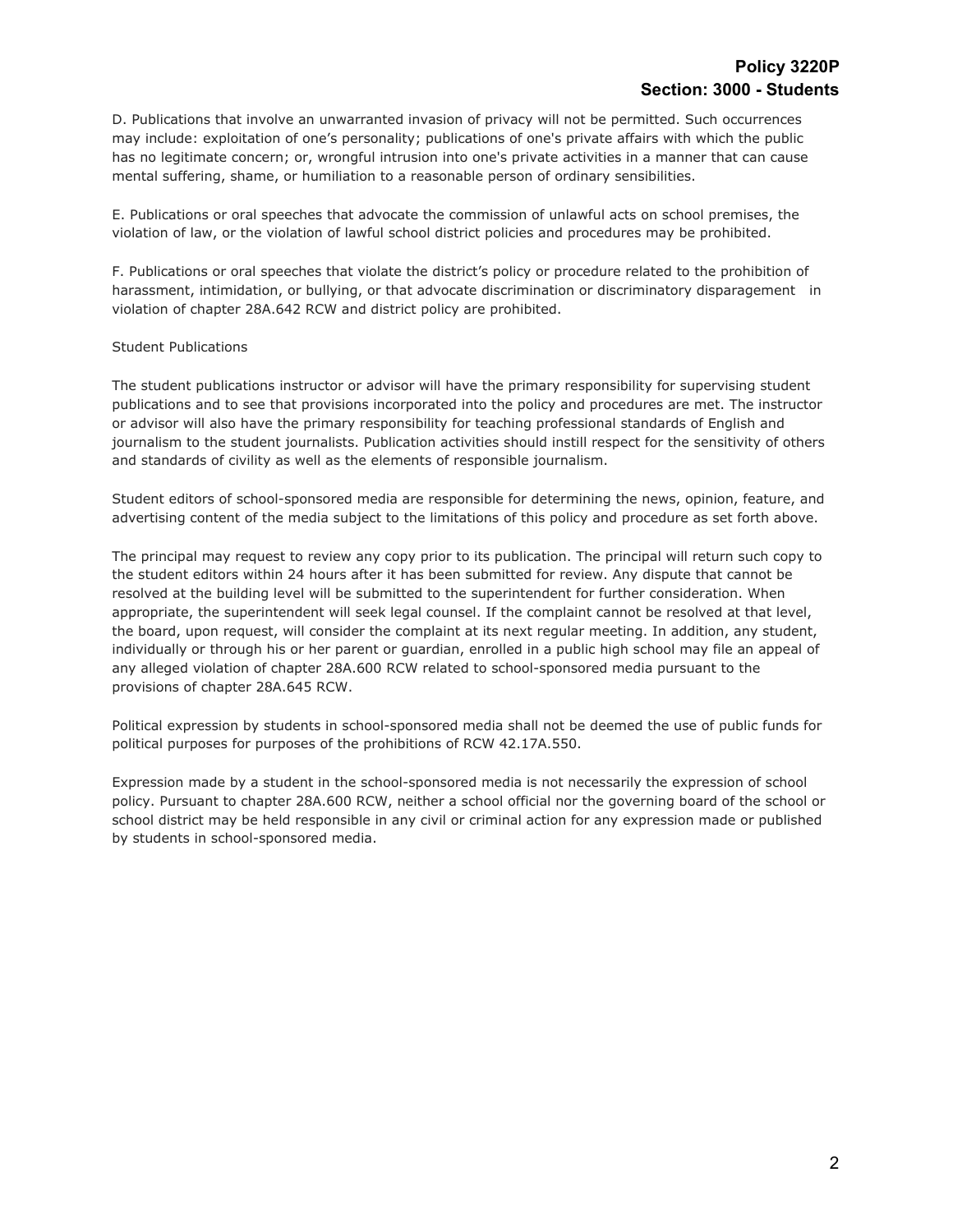D. Publications that involve an unwarranted invasion of privacy will not be permitted. Such occurrences may include: exploitation of one's personality; publications of one's private affairs with which the public has no legitimate concern; or, wrongful intrusion into one's private activities in a manner that can cause mental suffering, shame, or humiliation to a reasonable person of ordinary sensibilities.

E. Publications or oral speeches that advocate the commission of unlawful acts on school premises, the violation of law, or the violation of lawful school district policies and procedures may be prohibited.

F. Publications or oral speeches that violate the district's policy or procedure related to the prohibition of harassment, intimidation, or bullying, or that advocate discrimination or discriminatory disparagement in violation of chapter 28A.642 RCW and district policy are prohibited.

## Student Publications

The student publications instructor or advisor will have the primary responsibility for supervising student publications and to see that provisions incorporated into the policy and procedures are met. The instructor or advisor will also have the primary responsibility for teaching professional standards of English and journalism to the student journalists. Publication activities should instill respect for the sensitivity of others and standards of civility as well as the elements of responsible journalism.

Student editors of school-sponsored media are responsible for determining the news, opinion, feature, and advertising content of the media subject to the limitations of this policy and procedure as set forth above.

The principal may request to review any copy prior to its publication. The principal will return such copy to the student editors within 24 hours after it has been submitted for review. Any dispute that cannot be resolved at the building level will be submitted to the superintendent for further consideration. When appropriate, the superintendent will seek legal counsel. If the complaint cannot be resolved at that level, the board, upon request, will consider the complaint at its next regular meeting. In addition, any student, individually or through his or her parent or guardian, enrolled in a public high school may file an appeal of any alleged violation of chapter 28A.600 RCW related to school-sponsored media pursuant to the provisions of chapter 28A.645 RCW.

Political expression by students in school-sponsored media shall not be deemed the use of public funds for political purposes for purposes of the prohibitions of RCW 42.17A.550.

Expression made by a student in the school-sponsored media is not necessarily the expression of school policy. Pursuant to chapter 28A.600 RCW, neither a school official nor the governing board of the school or school district may be held responsible in any civil or criminal action for any expression made or published by students in school-sponsored media.